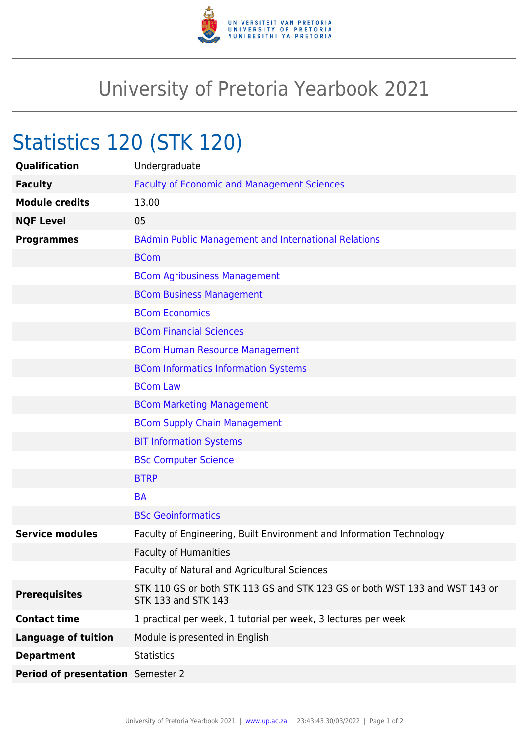

## University of Pretoria Yearbook 2021

## Statistics 120 (STK 120)

| <b>Qualification</b>              | Undergraduate                                                                                             |
|-----------------------------------|-----------------------------------------------------------------------------------------------------------|
| <b>Faculty</b>                    | <b>Faculty of Economic and Management Sciences</b>                                                        |
| <b>Module credits</b>             | 13.00                                                                                                     |
| <b>NQF Level</b>                  | 05                                                                                                        |
| <b>Programmes</b>                 | <b>BAdmin Public Management and International Relations</b>                                               |
|                                   | <b>BCom</b>                                                                                               |
|                                   | <b>BCom Agribusiness Management</b>                                                                       |
|                                   | <b>BCom Business Management</b>                                                                           |
|                                   | <b>BCom Economics</b>                                                                                     |
|                                   | <b>BCom Financial Sciences</b>                                                                            |
|                                   | <b>BCom Human Resource Management</b>                                                                     |
|                                   | <b>BCom Informatics Information Systems</b>                                                               |
|                                   | <b>BCom Law</b>                                                                                           |
|                                   | <b>BCom Marketing Management</b>                                                                          |
|                                   | <b>BCom Supply Chain Management</b>                                                                       |
|                                   | <b>BIT Information Systems</b>                                                                            |
|                                   | <b>BSc Computer Science</b>                                                                               |
|                                   | <b>BTRP</b>                                                                                               |
|                                   | <b>BA</b>                                                                                                 |
|                                   | <b>BSc Geoinformatics</b>                                                                                 |
| <b>Service modules</b>            | Faculty of Engineering, Built Environment and Information Technology                                      |
|                                   | <b>Faculty of Humanities</b>                                                                              |
|                                   | Faculty of Natural and Agricultural Sciences                                                              |
| <b>Prerequisites</b>              | STK 110 GS or both STK 113 GS and STK 123 GS or both WST 133 and WST 143 or<br><b>STK 133 and STK 143</b> |
| <b>Contact time</b>               | 1 practical per week, 1 tutorial per week, 3 lectures per week                                            |
| <b>Language of tuition</b>        | Module is presented in English                                                                            |
| <b>Department</b>                 | <b>Statistics</b>                                                                                         |
| Period of presentation Semester 2 |                                                                                                           |